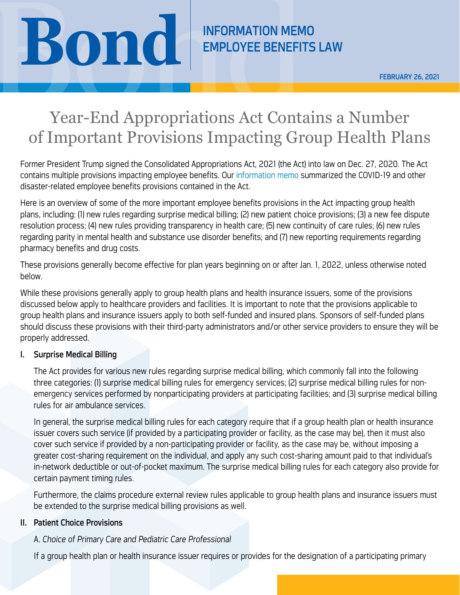# **BOND CONDUCTS** EMPLOYEE BENEFITS

## Year-End Appropriations Act Contains a Number of Important Provisions Impacting Group Health Plans

Former President Trump signed the Consolidated Appropriations Act, 2021 (the Act) into law on Dec. 27, 2020. The Act contains multiple provisions impacting employee benefits. Our [information memo](https://www.bsk.com/news-events-videos/year-end-appropriations-and-covid-19-act-includes-employee-benefit-changes) summarized the COVID-19 and other disaster-related employee benefits provisions contained in the Act.

Here is an overview of some of the more important employee benefits provisions in the Act impacting group health plans, including: (1) new rules regarding surprise medical billing; (2) new patient choice provisions; (3) a new fee dispute resolution process; (4) new rules providing transparency in health care; (5) new continuity of care rules; (6) new rules regarding parity in mental health and substance use disorder benefits; and (7) new reporting requirements regarding pharmacy benefits and drug costs.

These provisions generally become effective for plan years beginning on or after Jan. 1, 2022, unless otherwise noted below.

While these provisions generally apply to group health plans and health insurance issuers, some of the provisions discussed below apply to healthcare providers and facilities. It is important to note that the provisions applicable to group health plans and insurance issuers apply to both self-funded and insured plans. Sponsors of self-funded plans should discuss these provisions with their third-party administrators and/or other service providers to ensure they will be properly addressed.

#### I. Surprise Medical Billing

The Act provides for various new rules regarding surprise medical billing, which commonly fall into the following three categories: (1) surprise medical billing rules for emergency services; (2) surprise medical billing rules for nonemergency services performed by nonparticipating providers at participating facilities; and (3) surprise medical billing rules for air ambulance services.

In general, the surprise medical billing rules for each category require that if a group health plan or health insurance issuer covers such service (if provided by a participating provider or facility, as the case may be), then it must also cover such service if provided by a non-participating provider or facility, as the case may be, without imposing a greater cost-sharing requirement on the individual, and apply any such cost-sharing amount paid to that individual's in-network deductible or out-of-pocket maximum. The surprise medical billing rules for each category also provide for certain payment timing rules.

Furthermore, the claims procedure external review rules applicable to group health plans and insurance issuers must be extended to the surprise medical billing provisions as well.

#### II. Patient Choice Provisions

### A. *Choice of Primary Care and Pediatric Care Professional*

If a group health plan or health insurance issuer requires or provides for the designation of a participating primary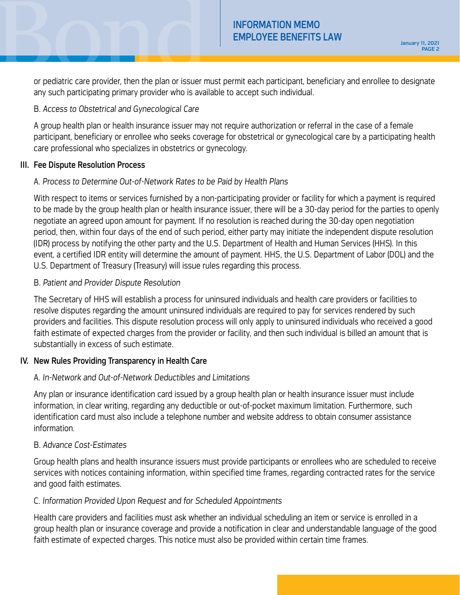INFORMATION MEMO<br>
EMPLOYEE BENEFITS LAW<br>
PAGE 2<br>
or pediatric care provider, then the plan or issuer must permit each participant, beneficiary and enrollee to designate or pediatric care provider, then the plan or issuer must permit each participant, beneficiary and enrollee to designate any such participating primary provider who is available to accept such individual.

#### B. *Access to Obstetrical and Gynecological Care*

A group health plan or health insurance issuer may not require authorization or referral in the case of a female participant, beneficiary or enrollee who seeks coverage for obstetrical or gynecological care by a participating health care professional who specializes in obstetrics or gynecology.

#### III. Fee Dispute Resolution Process

#### A. *Process to Determine Out-of-Network Rates to be Paid by Health Plans*

With respect to items or services furnished by a non-participating provider or facility for which a payment is required to be made by the group health plan or health insurance issuer, there will be a 30-day period for the parties to openly negotiate an agreed upon amount for payment. If no resolution is reached during the 30-day open negotiation period, then, within four days of the end of such period, either party may initiate the independent dispute resolution (IDR) process by notifying the other party and the U.S. Department of Health and Human Services (HHS). In this event, a certified IDR entity will determine the amount of payment. HHS, the U.S. Department of Labor (DOL) and the U.S. Department of Treasury (Treasury) will issue rules regarding this process.

#### B. *Patient and Provider Dispute Resolution*

The Secretary of HHS will establish a process for uninsured individuals and health care providers or facilities to resolve disputes regarding the amount uninsured individuals are required to pay for services rendered by such providers and facilities. This dispute resolution process will only apply to uninsured individuals who received a good faith estimate of expected charges from the provider or facility, and then such individual is billed an amount that is substantially in excess of such estimate.

#### IV. New Rules Providing Transparency in Health Care

#### A. *In-Network and Out-of-Network Deductibles and Limitations*

Any plan or insurance identification card issued by a group health plan or health insurance issuer must include information, in clear writing, regarding any deductible or out-of-pocket maximum limitation. Furthermore, such identification card must also include a telephone number and website address to obtain consumer assistance information.

#### B. *Advance Cost-Estimates*

Group health plans and health insurance issuers must provide participants or enrollees who are scheduled to receive services with notices containing information, within specified time frames, regarding contracted rates for the service and good faith estimates.

#### C. *Information Provided Upon Request and for Scheduled Appointments*

Health care providers and facilities must ask whether an individual scheduling an item or service is enrolled in a group health plan or insurance coverage and provide a notification in clear and understandable language of the good faith estimate of expected charges. This notice must also be provided within certain time frames.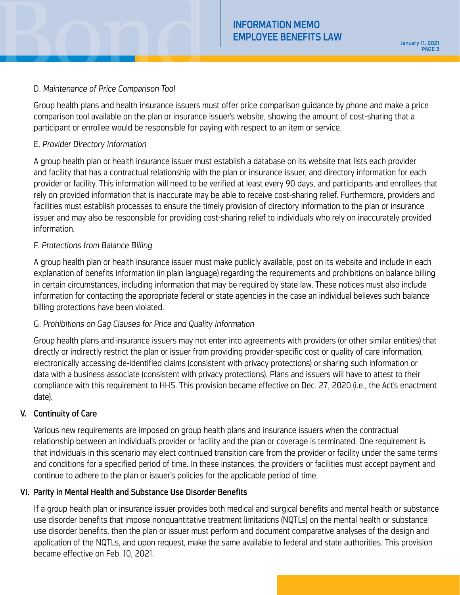#### D. *Maintenance of Price Comparison Tool*

Group health plans and health insurance issuers must offer price comparison guidance by phone and make a price comparison tool available on the plan or insurance issuer's website, showing the amount of cost-sharing that a participant or enrollee would be responsible for paying with respect to an item or service.

#### E. *Provider Directory Information*

A group health plan or health insurance issuer must establish a database on its website that lists each provider and facility that has a contractual relationship with the plan or insurance issuer, and directory information for each provider or facility. This information will need to be verified at least every 90 days, and participants and enrollees that rely on provided information that is inaccurate may be able to receive cost-sharing relief. Furthermore, providers and facilities must establish processes to ensure the timely provision of directory information to the plan or insurance issuer and may also be responsible for providing cost-sharing relief to individuals who rely on inaccurately provided information.

#### F. *Protections from Balance Billing*

A group health plan or health insurance issuer must make publicly available, post on its website and include in each explanation of benefits information (in plain language) regarding the requirements and prohibitions on balance billing in certain circumstances, including information that may be required by state law. These notices must also include information for contacting the appropriate federal or state agencies in the case an individual believes such balance billing protections have been violated.

#### G. *Prohibitions on Gag Clauses for Price and Quality Information*

Group health plans and insurance issuers may not enter into agreements with providers (or other similar entities) that directly or indirectly restrict the plan or issuer from providing provider-specific cost or quality of care information, electronically accessing de-identified claims (consistent with privacy protections) or sharing such information or data with a business associate (consistent with privacy protections). Plans and issuers will have to attest to their compliance with this requirement to HHS. This provision became effective on Dec. 27, 2020 (i.e., the Act's enactment date).

#### V. Continuity of Care

Various new requirements are imposed on group health plans and insurance issuers when the contractual relationship between an individual's provider or facility and the plan or coverage is terminated. One requirement is that individuals in this scenario may elect continued transition care from the provider or facility under the same terms and conditions for a specified period of time. In these instances, the providers or facilities must accept payment and continue to adhere to the plan or issuer's policies for the applicable period of time.

#### VI. Parity in Mental Health and Substance Use Disorder Benefits

If a group health plan or insurance issuer provides both medical and surgical benefits and mental health or substance use disorder benefits that impose nonquantitative treatment limitations (NQTLs) on the mental health or substance use disorder benefits, then the plan or issuer must perform and document comparative analyses of the design and application of the NQTLs, and upon request, make the same available to federal and state authorities. This provision became effective on Feb. 10, 2021.